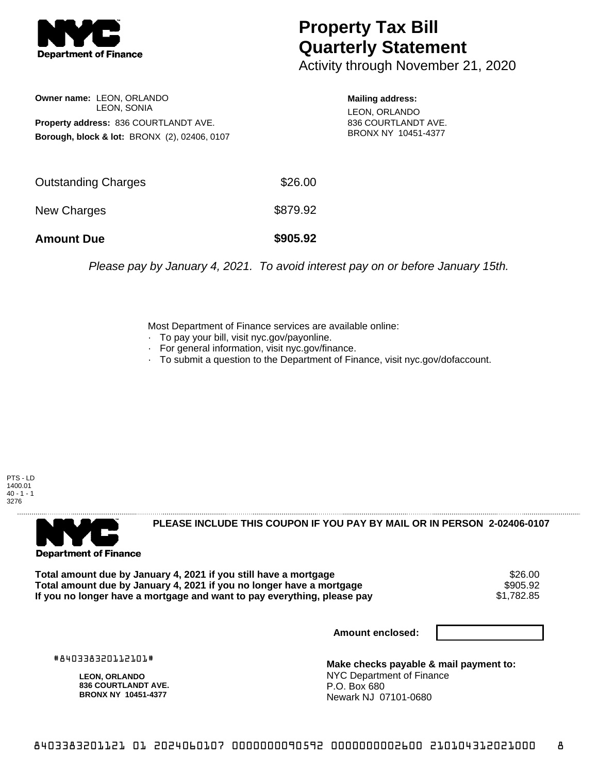

## **Property Tax Bill Quarterly Statement**

Activity through November 21, 2020

**Owner name:** LEON, ORLANDO LEON, SONIA **Property address:** 836 COURTLANDT AVE. **Borough, block & lot:** BRONX (2), 02406, 0107

**Mailing address:** LEON, ORLANDO 836 COURTLANDT AVE. BRONX NY 10451-4377

| <b>Amount Due</b>          | \$905.92 |
|----------------------------|----------|
| New Charges                | \$879.92 |
| <b>Outstanding Charges</b> | \$26.00  |

Please pay by January 4, 2021. To avoid interest pay on or before January 15th.

Most Department of Finance services are available online:

- · To pay your bill, visit nyc.gov/payonline.
- For general information, visit nyc.gov/finance.
- · To submit a question to the Department of Finance, visit nyc.gov/dofaccount.





**PLEASE INCLUDE THIS COUPON IF YOU PAY BY MAIL OR IN PERSON 2-02406-0107** 

**Total amount due by January 4, 2021 if you still have a mortgage** \$26.00 **Total amount due by January 4, 2021 if you no longer have a mortgage \$905.92<br>If you no longer have a mortgage and want to pay everything, please pay \$1,782.85** If you no longer have a mortgage and want to pay everything, please pay

**Amount enclosed:**

#840338320112101#

**LEON, ORLANDO 836 COURTLANDT AVE. BRONX NY 10451-4377**

**Make checks payable & mail payment to:** NYC Department of Finance P.O. Box 680 Newark NJ 07101-0680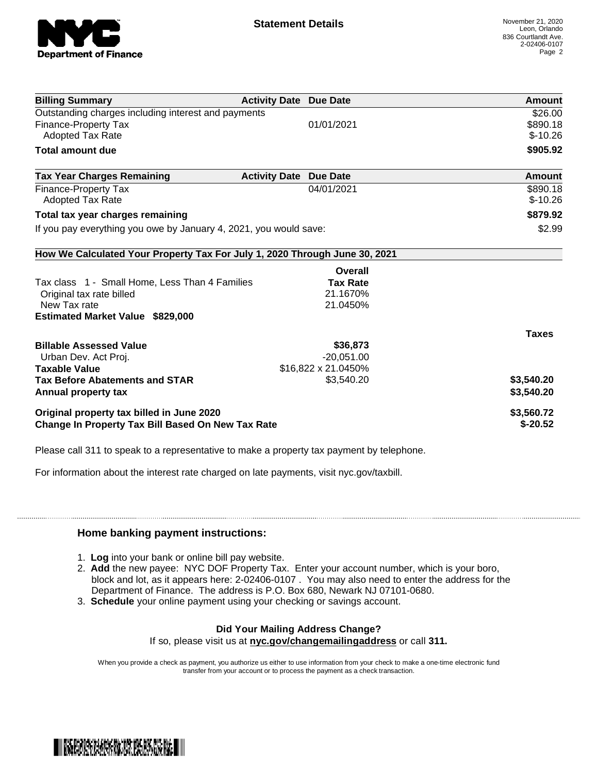

| <b>Billing Summary</b>                                                     | <b>Activity Date Due Date</b> |                     | Amount       |
|----------------------------------------------------------------------------|-------------------------------|---------------------|--------------|
| Outstanding charges including interest and payments                        |                               |                     | \$26.00      |
| <b>Finance-Property Tax</b>                                                |                               | 01/01/2021          | \$890.18     |
| <b>Adopted Tax Rate</b>                                                    |                               |                     | $$-10.26$    |
| <b>Total amount due</b>                                                    |                               |                     | \$905.92     |
| <b>Tax Year Charges Remaining</b>                                          | <b>Activity Date</b>          | <b>Due Date</b>     | Amount       |
| Finance-Property Tax                                                       |                               | 04/01/2021          | \$890.18     |
| Adopted Tax Rate                                                           |                               |                     | $$-10.26$    |
| Total tax year charges remaining                                           |                               |                     | \$879.92     |
| If you pay everything you owe by January 4, 2021, you would save:          |                               |                     | \$2.99       |
| How We Calculated Your Property Tax For July 1, 2020 Through June 30, 2021 |                               |                     |              |
|                                                                            |                               | Overall             |              |
| Tax class 1 - Small Home, Less Than 4 Families                             |                               | <b>Tax Rate</b>     |              |
| Original tax rate billed                                                   |                               | 21.1670%            |              |
| New Tax rate                                                               |                               | 21.0450%            |              |
| <b>Estimated Market Value \$829,000</b>                                    |                               |                     |              |
|                                                                            |                               |                     | <b>Taxes</b> |
| <b>Billable Assessed Value</b>                                             |                               | \$36,873            |              |
| Urban Dev. Act Proj.                                                       |                               | $-20,051.00$        |              |
| <b>Taxable Value</b>                                                       |                               | \$16,822 x 21.0450% |              |
| <b>Tax Before Abatements and STAR</b>                                      |                               | \$3,540.20          | \$3,540.20   |
| <b>Annual property tax</b>                                                 |                               |                     | \$3,540.20   |
| Original property tax billed in June 2020                                  |                               |                     | \$3,560.72   |
| <b>Change In Property Tax Bill Based On New Tax Rate</b>                   |                               |                     | $$-20.52$    |

Please call 311 to speak to a representative to make a property tax payment by telephone.

For information about the interest rate charged on late payments, visit nyc.gov/taxbill.

## **Home banking payment instructions:**

- 1. **Log** into your bank or online bill pay website.
- 2. **Add** the new payee: NYC DOF Property Tax. Enter your account number, which is your boro, block and lot, as it appears here: 2-02406-0107 . You may also need to enter the address for the Department of Finance. The address is P.O. Box 680, Newark NJ 07101-0680.
- 3. **Schedule** your online payment using your checking or savings account.

## **Did Your Mailing Address Change?**

If so, please visit us at **nyc.gov/changemailingaddress** or call **311.**

When you provide a check as payment, you authorize us either to use information from your check to make a one-time electronic fund transfer from your account or to process the payment as a check transaction.